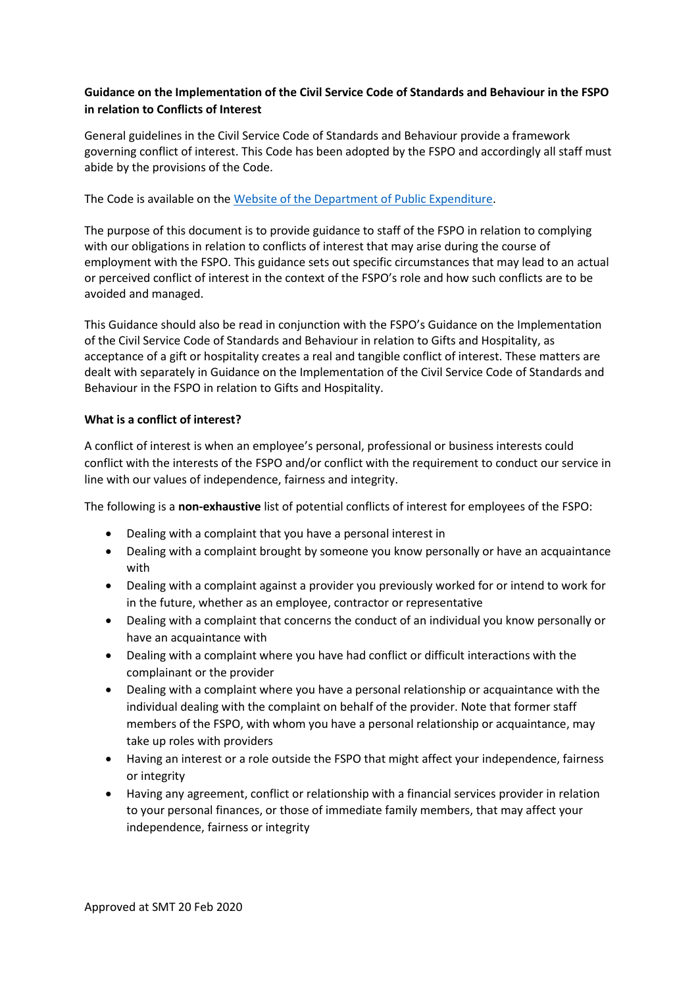# **Guidance on the Implementation of the Civil Service Code of Standards and Behaviour in the FSPO in relation to Conflicts of Interest**

General guidelines in the Civil Service Code of Standards and Behaviour provide a framework governing conflict of interest. This Code has been adopted by the FSPO and accordingly all staff must abide by the provisions of the Code.

The Code is available on the [Website of the Department of Public Expenditure.](https://hr.per.gov.ie/wp-content/uploads/2011/06/Civil-Service-Code-of-Standards-and-Behaviour.pdf)

The purpose of this document is to provide guidance to staff of the FSPO in relation to complying with our obligations in relation to conflicts of interest that may arise during the course of employment with the FSPO. This guidance sets out specific circumstances that may lead to an actual or perceived conflict of interest in the context of the FSPO's role and how such conflicts are to be avoided and managed.

This Guidance should also be read in conjunction with the FSPO's Guidance on the Implementation of the Civil Service Code of Standards and Behaviour in relation to Gifts and Hospitality, as acceptance of a gift or hospitality creates a real and tangible conflict of interest. These matters are dealt with separately in Guidance on the Implementation of the Civil Service Code of Standards and Behaviour in the FSPO in relation to Gifts and Hospitality.

## **What is a conflict of interest?**

A conflict of interest is when an employee's personal, professional or business interests could conflict with the interests of the FSPO and/or conflict with the requirement to conduct our service in line with our values of independence, fairness and integrity.

The following is a **non-exhaustive** list of potential conflicts of interest for employees of the FSPO:

- Dealing with a complaint that you have a personal interest in
- Dealing with a complaint brought by someone you know personally or have an acquaintance with
- Dealing with a complaint against a provider you previously worked for or intend to work for in the future, whether as an employee, contractor or representative
- Dealing with a complaint that concerns the conduct of an individual you know personally or have an acquaintance with
- Dealing with a complaint where you have had conflict or difficult interactions with the complainant or the provider
- Dealing with a complaint where you have a personal relationship or acquaintance with the individual dealing with the complaint on behalf of the provider. Note that former staff members of the FSPO, with whom you have a personal relationship or acquaintance, may take up roles with providers
- Having an interest or a role outside the FSPO that might affect your independence, fairness or integrity
- Having any agreement, conflict or relationship with a financial services provider in relation to your personal finances, or those of immediate family members, that may affect your independence, fairness or integrity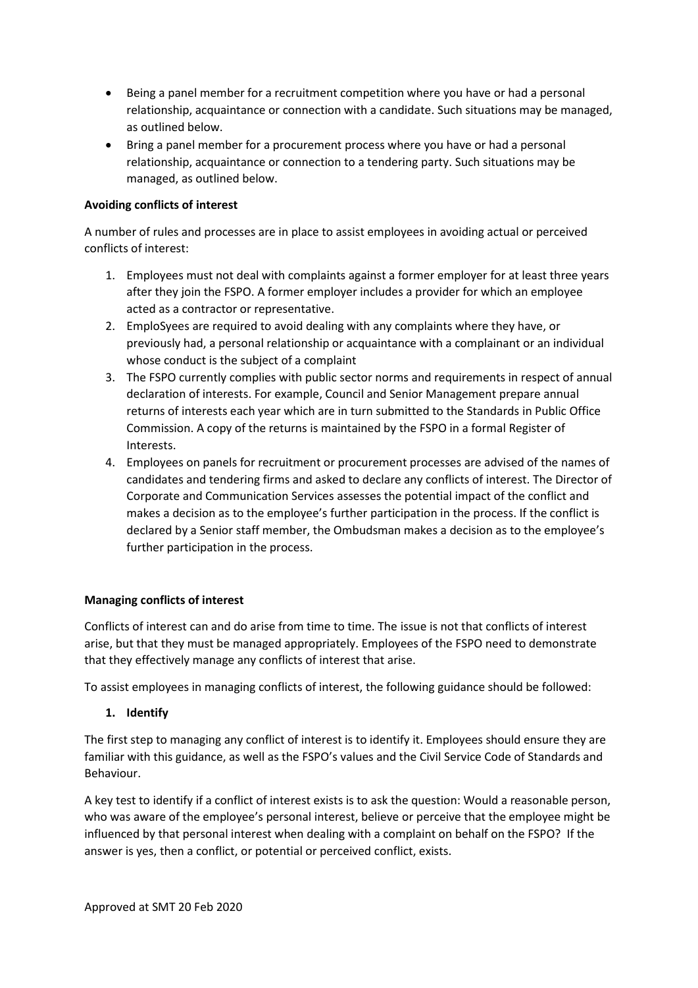- Being a panel member for a recruitment competition where you have or had a personal relationship, acquaintance or connection with a candidate. Such situations may be managed, as outlined below.
- Bring a panel member for a procurement process where you have or had a personal relationship, acquaintance or connection to a tendering party. Such situations may be managed, as outlined below.

## **Avoiding conflicts of interest**

A number of rules and processes are in place to assist employees in avoiding actual or perceived conflicts of interest:

- 1. Employees must not deal with complaints against a former employer for at least three years after they join the FSPO. A former employer includes a provider for which an employee acted as a contractor or representative.
- 2. EmploSyees are required to avoid dealing with any complaints where they have, or previously had, a personal relationship or acquaintance with a complainant or an individual whose conduct is the subject of a complaint
- 3. The FSPO currently complies with public sector norms and requirements in respect of annual declaration of interests. For example, Council and Senior Management prepare annual returns of interests each year which are in turn submitted to the Standards in Public Office Commission. A copy of the returns is maintained by the FSPO in a formal Register of Interests.
- 4. Employees on panels for recruitment or procurement processes are advised of the names of candidates and tendering firms and asked to declare any conflicts of interest. The Director of Corporate and Communication Services assesses the potential impact of the conflict and makes a decision as to the employee's further participation in the process. If the conflict is declared by a Senior staff member, the Ombudsman makes a decision as to the employee's further participation in the process.

#### **Managing conflicts of interest**

Conflicts of interest can and do arise from time to time. The issue is not that conflicts of interest arise, but that they must be managed appropriately. Employees of the FSPO need to demonstrate that they effectively manage any conflicts of interest that arise.

To assist employees in managing conflicts of interest, the following guidance should be followed:

# **1. Identify**

The first step to managing any conflict of interest is to identify it. Employees should ensure they are familiar with this guidance, as well as the FSPO's values and the Civil Service Code of Standards and Behaviour.

A key test to identify if a conflict of interest exists is to ask the question: Would a reasonable person, who was aware of the employee's personal interest, believe or perceive that the employee might be influenced by that personal interest when dealing with a complaint on behalf on the FSPO? If the answer is yes, then a conflict, or potential or perceived conflict, exists.